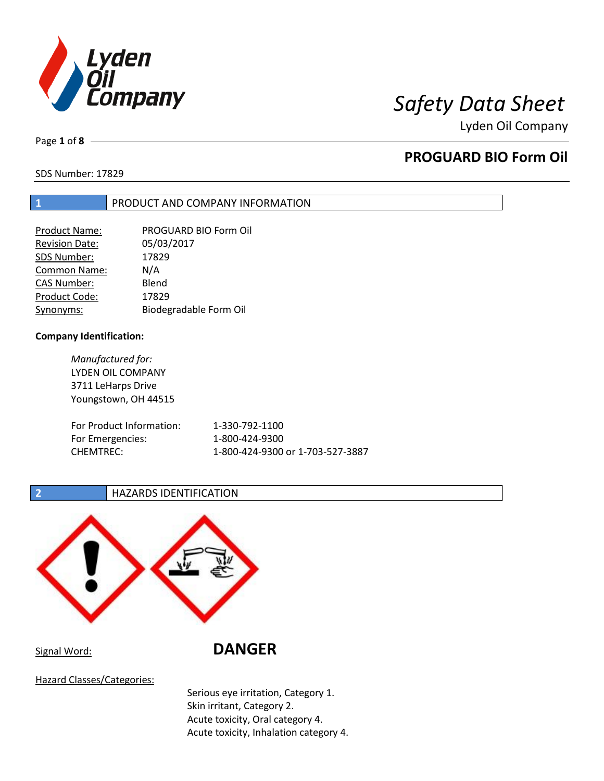

Lyden Oil Company

Page **1** of **8**

# **PROGUARD BIO Form Oil**

SDS Number: 17829

## **1** PRODUCT AND COMPANY INFORMATION

| <b>Product Name:</b>  | PROGUARD BIO Form Oil  |
|-----------------------|------------------------|
| <b>Revision Date:</b> | 05/03/2017             |
| SDS Number:           | 17829                  |
| Common Name:          | N/A                    |
| <b>CAS Number:</b>    | Blend                  |
| Product Code:         | 17829                  |
| Synonyms:             | Biodegradable Form Oil |

## **Company Identification:**

*Manufactured for:* LYDEN OIL COMPANY 3711 LeHarps Drive Youngstown, OH 44515 For Product Information: 1-330-792-1100 For Emergencies: 1-800-424-9300 CHEMTREC: 1-800-424-9300 or 1-703-527-3887

**2 HAZARDS IDENTIFICATION** 



Signal Word: **DANGER**

Hazard Classes/Categories:

Serious eye irritation, Category 1. Skin irritant, Category 2. Acute toxicity, Oral category 4. Acute toxicity, Inhalation category 4.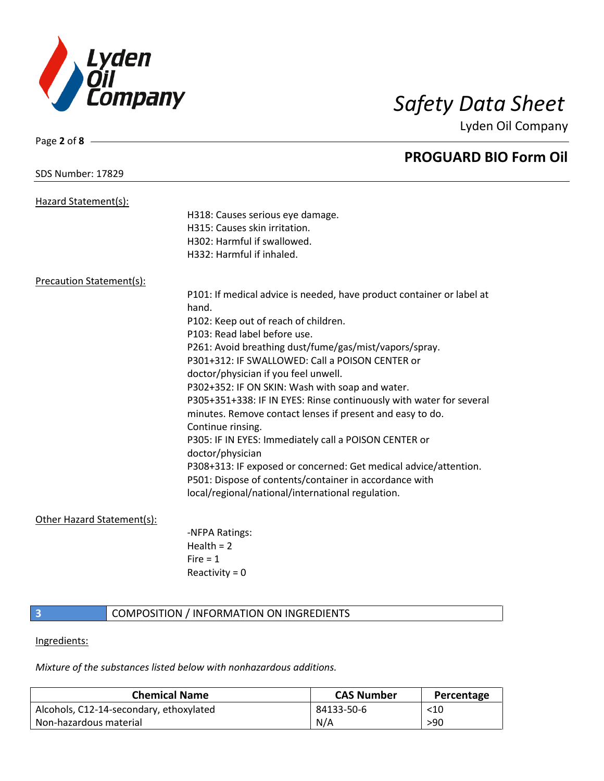

Page **2** of **8**

Lyden Oil Company

|                                 | <b>PROGUARD BIO Form Oil</b>                                          |
|---------------------------------|-----------------------------------------------------------------------|
| <b>SDS Number: 17829</b>        |                                                                       |
| Hazard Statement(s):            |                                                                       |
|                                 | H318: Causes serious eye damage.                                      |
|                                 | H315: Causes skin irritation.                                         |
|                                 | H302: Harmful if swallowed.                                           |
|                                 | H332: Harmful if inhaled.                                             |
| <b>Precaution Statement(s):</b> |                                                                       |
|                                 | P101: If medical advice is needed, have product container or label at |
|                                 | hand.                                                                 |
|                                 | P102: Keep out of reach of children.                                  |
|                                 | P103: Read label before use.                                          |
|                                 | P261: Avoid breathing dust/fume/gas/mist/vapors/spray.                |
|                                 | P301+312: IF SWALLOWED: Call a POISON CENTER or                       |
|                                 | doctor/physician if you feel unwell.                                  |
|                                 | P302+352: IF ON SKIN: Wash with soap and water.                       |
|                                 | P305+351+338: IF IN EYES: Rinse continuously with water for several   |
|                                 | minutes. Remove contact lenses if present and easy to do.             |
|                                 | Continue rinsing.                                                     |
|                                 | P305: IF IN EYES: Immediately call a POISON CENTER or                 |
|                                 | doctor/physician                                                      |
|                                 | P308+313: IF exposed or concerned: Get medical advice/attention.      |
|                                 | P501: Dispose of contents/container in accordance with                |
|                                 | local/regional/national/international regulation.                     |
| Other Hazard Statement(s):      |                                                                       |
|                                 | -NFPA Ratings:                                                        |
|                                 | Health $= 2$                                                          |
|                                 | $Fire = 1$                                                            |

## **3 COMPOSITION** / INFORMATION ON INGREDIENTS

Reactivity  $= 0$ 

## Ingredients:

*Mixture of the substances listed below with nonhazardous additions.*

| <b>Chemical Name</b>                    | <b>CAS Number</b> | Percentage |
|-----------------------------------------|-------------------|------------|
| Alcohols, C12-14-secondary, ethoxylated | 84133-50-6        | $<$ 10     |
| Non-hazardous material                  | N/A               | >90        |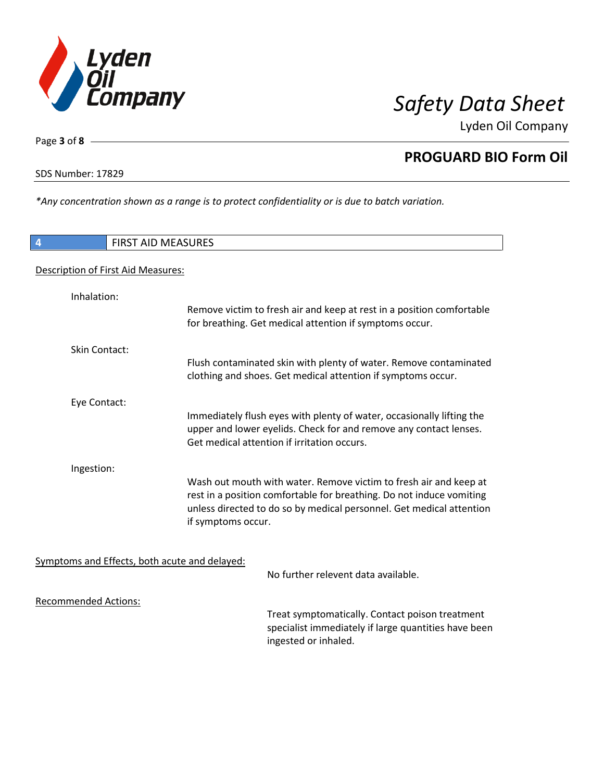

Lyden Oil Company

Page **3** of **8**

# **PROGUARD BIO Form Oil**

SDS Number: 17829

*\*Any concentration shown as a range is to protect confidentiality or is due to batch variation.*

| 4                           | <b>FIRST AID MEASURES</b>                                                                                                                                          |
|-----------------------------|--------------------------------------------------------------------------------------------------------------------------------------------------------------------|
|                             | Description of First Aid Measures:                                                                                                                                 |
| Inhalation:                 | Remove victim to fresh air and keep at rest in a position comfortable                                                                                              |
|                             | for breathing. Get medical attention if symptoms occur.                                                                                                            |
| <b>Skin Contact:</b>        | Flush contaminated skin with plenty of water. Remove contaminated                                                                                                  |
|                             | clothing and shoes. Get medical attention if symptoms occur.                                                                                                       |
| Eye Contact:                | Immediately flush eyes with plenty of water, occasionally lifting the                                                                                              |
|                             | upper and lower eyelids. Check for and remove any contact lenses.<br>Get medical attention if irritation occurs.                                                   |
| Ingestion:                  | Wash out mouth with water. Remove victim to fresh air and keep at                                                                                                  |
|                             | rest in a position comfortable for breathing. Do not induce vomiting<br>unless directed to do so by medical personnel. Get medical attention<br>if symptoms occur. |
|                             | Symptoms and Effects, both acute and delayed:                                                                                                                      |
|                             | No further relevent data available.                                                                                                                                |
| <b>Recommended Actions:</b> |                                                                                                                                                                    |
|                             | Treat symptomatically. Contact poison treatment<br>specialist immediately if large quantities have been<br>ingested or inhaled.                                    |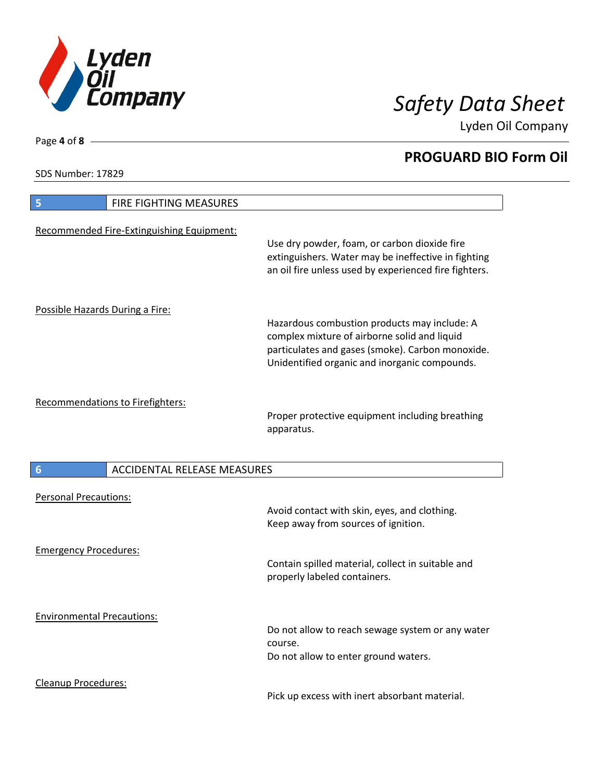

Lyden Oil Company

SDS Number: 17829

Page **4** of **8**

| FIRE FIGHTING MEASURES<br>5                           |                                                                                                                                                                                                   |
|-------------------------------------------------------|---------------------------------------------------------------------------------------------------------------------------------------------------------------------------------------------------|
| Recommended Fire-Extinguishing Equipment:             | Use dry powder, foam, or carbon dioxide fire<br>extinguishers. Water may be ineffective in fighting<br>an oil fire unless used by experienced fire fighters.                                      |
| Possible Hazards During a Fire:                       | Hazardous combustion products may include: A<br>complex mixture of airborne solid and liquid<br>particulates and gases (smoke). Carbon monoxide.<br>Unidentified organic and inorganic compounds. |
| Recommendations to Firefighters:                      | Proper protective equipment including breathing<br>apparatus.                                                                                                                                     |
|                                                       |                                                                                                                                                                                                   |
| <b>ACCIDENTAL RELEASE MEASURES</b><br>$6\phantom{1}6$ |                                                                                                                                                                                                   |
| <b>Personal Precautions:</b>                          | Avoid contact with skin, eyes, and clothing.<br>Keep away from sources of ignition.                                                                                                               |
| <b>Emergency Procedures:</b>                          | Contain spilled material, collect in suitable and<br>properly labeled containers.                                                                                                                 |
| <b>Environmental Precautions:</b>                     | Do not allow to reach sewage system or any water<br>course.<br>Do not allow to enter ground waters.                                                                                               |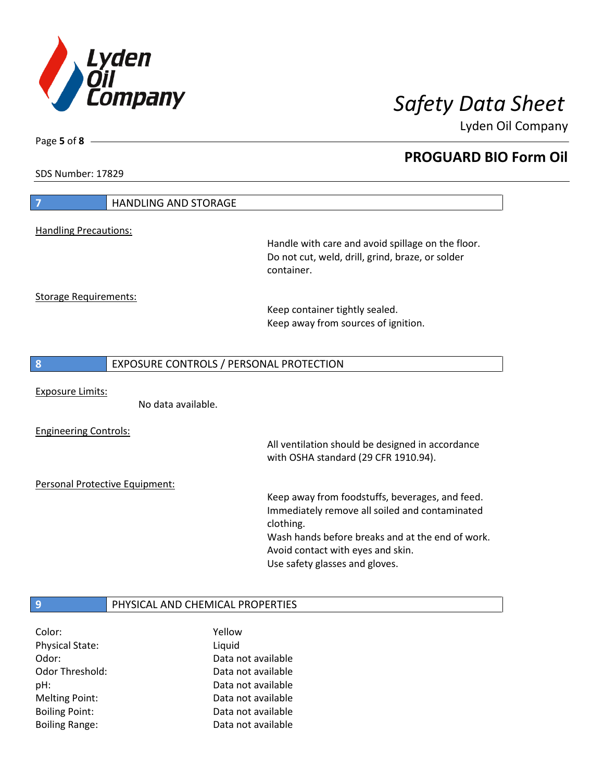

Lyden Oil Company

SDS Number: 17829

Page **5** of **8**

| 7                              | <b>HANDLING AND STORAGE</b>             |                                                                                                                         |
|--------------------------------|-----------------------------------------|-------------------------------------------------------------------------------------------------------------------------|
| <b>Handling Precautions:</b>   |                                         |                                                                                                                         |
|                                |                                         | Handle with care and avoid spillage on the floor.<br>Do not cut, weld, drill, grind, braze, or solder<br>container.     |
| <b>Storage Requirements:</b>   |                                         |                                                                                                                         |
|                                |                                         | Keep container tightly sealed.<br>Keep away from sources of ignition.                                                   |
| 8                              | EXPOSURE CONTROLS / PERSONAL PROTECTION |                                                                                                                         |
|                                |                                         |                                                                                                                         |
| <b>Exposure Limits:</b>        | No data available.                      |                                                                                                                         |
|                                |                                         |                                                                                                                         |
| <b>Engineering Controls:</b>   |                                         | All ventilation should be designed in accordance<br>with OSHA standard (29 CFR 1910.94).                                |
| Personal Protective Equipment: |                                         |                                                                                                                         |
|                                |                                         | Keep away from foodstuffs, beverages, and feed.<br>Immediately remove all soiled and contaminated<br>clothing.          |
|                                |                                         | Wash hands before breaks and at the end of work.<br>Avoid contact with eyes and skin.<br>Use safety glasses and gloves. |
|                                |                                         |                                                                                                                         |
| 9                              | PHYSICAL AND CHEMICAL PROPERTIES        |                                                                                                                         |

| Color:                 | Yellow             |
|------------------------|--------------------|
| <b>Physical State:</b> | Liquid             |
| Odor:                  | Data not available |
| Odor Threshold:        | Data not available |
| pH:                    | Data not available |
| <b>Melting Point:</b>  | Data not available |
| <b>Boiling Point:</b>  | Data not available |
| <b>Boiling Range:</b>  | Data not available |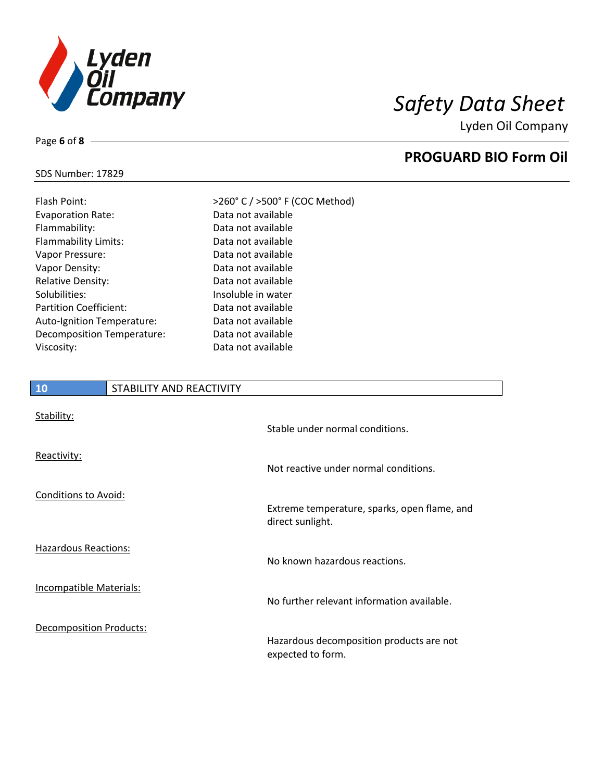

Lyden Oil Company

### SDS Number: 17829

Page **6** of **8**

| Flash Point:                  | >260° C / >500° F (COC Method) |
|-------------------------------|--------------------------------|
| <b>Evaporation Rate:</b>      | Data not available             |
| Flammability:                 | Data not available             |
| <b>Flammability Limits:</b>   | Data not available             |
| Vapor Pressure:               | Data not available             |
| Vapor Density:                | Data not available             |
| <b>Relative Density:</b>      | Data not available             |
| Solubilities:                 | Insoluble in water             |
| <b>Partition Coefficient:</b> | Data not available             |
| Auto-Ignition Temperature:    | Data not available             |
| Decomposition Temperature:    | Data not available             |
| Viscosity:                    | Data not available             |

## **10** STABILITY AND REACTIVITY

| Stability:                     | Stable under normal conditions.                                  |
|--------------------------------|------------------------------------------------------------------|
| Reactivity:                    | Not reactive under normal conditions.                            |
| Conditions to Avoid:           | Extreme temperature, sparks, open flame, and<br>direct sunlight. |
| <b>Hazardous Reactions:</b>    | No known hazardous reactions.                                    |
| Incompatible Materials:        | No further relevant information available.                       |
| <b>Decomposition Products:</b> | Hazardous decomposition products are not<br>expected to form.    |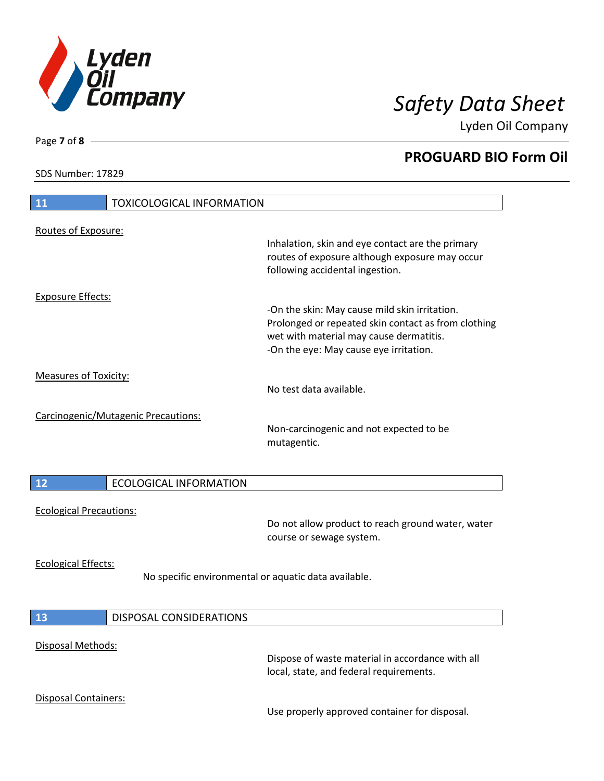

Lyden Oil Company

SDS Number: 17829

| 11                             | <b>TOXICOLOGICAL INFORMATION</b>                     |                                                                                                                                                                                           |
|--------------------------------|------------------------------------------------------|-------------------------------------------------------------------------------------------------------------------------------------------------------------------------------------------|
| Routes of Exposure:            |                                                      | Inhalation, skin and eye contact are the primary<br>routes of exposure although exposure may occur<br>following accidental ingestion.                                                     |
| <b>Exposure Effects:</b>       |                                                      | -On the skin: May cause mild skin irritation.<br>Prolonged or repeated skin contact as from clothing<br>wet with material may cause dermatitis.<br>-On the eye: May cause eye irritation. |
| <b>Measures of Toxicity:</b>   |                                                      | No test data available.                                                                                                                                                                   |
|                                | Carcinogenic/Mutagenic Precautions:                  | Non-carcinogenic and not expected to be<br>mutagentic.                                                                                                                                    |
| 12                             | <b>ECOLOGICAL INFORMATION</b>                        |                                                                                                                                                                                           |
| <b>Ecological Precautions:</b> |                                                      | Do not allow product to reach ground water, water<br>course or sewage system.                                                                                                             |
| <b>Ecological Effects:</b>     | No specific environmental or aquatic data available. |                                                                                                                                                                                           |
| 13                             | <b>DISPOSAL CONSIDERATIONS</b>                       |                                                                                                                                                                                           |
| Disposal Methods:              |                                                      | Dispose of waste material in accordance with all<br>local, state, and federal requirements.                                                                                               |
| Disposal Containers:           |                                                      | Use properly approved container for disposal.                                                                                                                                             |

Page **7** of **8**

 $\overline{\phantom{a}}$ 

 $\overline{\phantom{a}}$